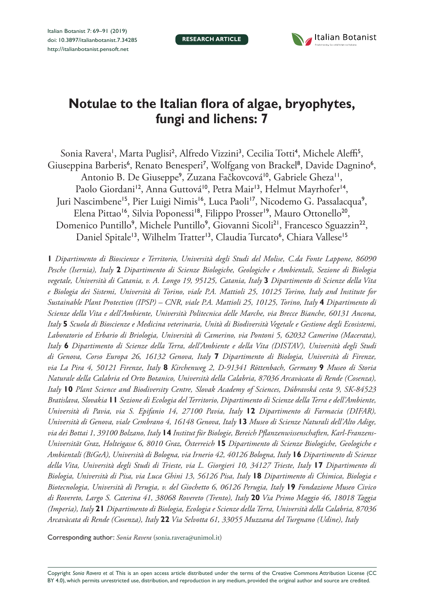**RESEARCH ARTICLE**



# **Notulae to the Italian flora of algae, bryophytes, fungi and lichens: 7**

Sonia Ravera', Marta Puglisi<sup>2</sup>, Alfredo Vizzini<sup>3</sup>, Cecilia Totti<sup>4</sup>, Michele Aleffi<sup>5</sup>, Giuseppina Barberis<sup>6</sup>, Renato Benesperi<sup>7</sup>, Wolfgang von Brackel<sup>8</sup>, Davide Dagnino<sup>6</sup>, Antonio B. De Giuseppe<sup>9</sup>, Zuzana Fačkovcová<sup>10</sup>, Gabriele Gheza<sup>11</sup>, Paolo Giordani<sup>12</sup>, Anna Guttová<sup>10</sup>, Petra Mair<sup>13</sup>, Helmut Mayrhofer<sup>14</sup>, Juri Nascimbene<sup>15</sup>, Pier Luigi Nimis<sup>16</sup>, Luca Paoli<sup>17</sup>, Nicodemo G. Passalacqua<sup>9</sup>, Elena Pittao<sup>16</sup>, Silvia Poponessi<sup>18</sup>, Filippo Prosser<sup>19</sup>, Mauro Ottonello<sup>20</sup>, Domenico Puntillo<sup>9</sup>, Michele Puntillo<sup>9</sup>, Giovanni Sicoli<sup>21</sup>, Francesco Sguazzin<sup>22</sup>, Daniel Spitale<sup>13</sup>, Wilhelm Tratter<sup>13</sup>, Claudia Turcato<sup>6</sup>, Chiara Vallese<sup>15</sup>

**1** *Dipartimento di Bioscienze e Territorio, Università degli Studi del Molise, C.da Fonte Lappone, 86090 Pesche (Isernia), Italy* **2** *Dipartimento di Scienze Biologiche, Geologiche e Ambientali, Sezione di Biologia vegetale, Università di Catania, v. A. Longo 19, 95125, Catania, Italy* **3** *Dipartimento di Scienze della Vita e Biologia dei Sistemi, Università di Torino, viale P.A. Mattioli 25, 10125 Torino, Italy and Institute for Sustainable Plant Protection (IPSP) – CNR, viale P.A. Mattioli 25, 10125, Torino, Italy 4 Dipartimento di Scienze della Vita e dell'Ambiente, Università Politecnica delle Marche, via Brecce Bianche, 60131 Ancona, Italy* **5** *Scuola di Bioscienze e Medicina veterinaria, Unità di Biodiversità Vegetale e Gestione degli Ecosistemi, Laboratorio ed Erbario di Briologia, Università di Camerino, via Pontoni 5, 62032 Camerino (Macerata), Italy* **6** *Dipartimento di Scienze della Terra, dell'Ambiente e della Vita (DISTAV), Università degli Studi di Genova, Corso Europa 26, 16132 Genova, Italy* **7** *Dipartimento di Biologia, Università di Firenze, via La Pira 4, 50121 Firenze, Italy* **8** *Kirchenweg 2, D-91341 Röttenbach, Germany* **9** *Museo di Storia Naturale della Calabria ed Orto Botanico, Università della Calabria, 87036 Arcavàcata di Rende (Cosenza), Italy* **10** *Plant Science and Biodiversity Centre, Slovak Academy of Sciences, Dúbravská cesta 9, SK-84523 Bratislava, Slovakia* **11** *Sezione di Ecologia del Territorio, Dipartimento di Scienze della Terra e dell'Ambiente, Università di Pavia, via S. Epifanio 14, 27100 Pavia, Italy* **12** *Dipartimento di Farmacia (DIFAR), Università di Genova, viale Cembrano 4, 16148 Genova, Italy* **13** *Museo di Scienze Naturali dell'Alto Adige, via dei Bottai 1, 39100 Bolzano, Italy* **14** *Institut für Biologie, Bereich Pflanzenwissenschaften, Karl-Franzens-Universität Graz, Holteigasse 6, 8010 Graz, Österreich* **15** *Dipartimento di Scienze Biologiche, Geologiche e Ambientali (BiGeA), Università di Bologna, via Irnerio 42, 40126 Bologna, Italy* **16** *Dipartimento di Scienze della Vita, Università degli Studi di Trieste, via L. Giorgieri 10, 34127 Trieste, Italy* **17** *Dipartimento di Biologia, Università di Pisa, via Luca Ghini 13, 56126 Pisa, Italy* **18** *Dipartimento di Chimica, Biologia e Biotecnologia, Università di Perugia, v. del Giochetto 6, 06126 Perugia, Italy* **19** *Fondazione Museo Civico di Rovereto, Largo S. Caterina 41, 38068 Rovereto (Trento), Italy* **20** *Via Primo Maggio 46, 18018 Taggia (Imperia), Italy* **21** *Dipartimento di Biologia, Ecologia e Scienze della Terra, Università della Calabria, 87036 Arcavàcata di Rende (Cosenza), Italy* **22** *Via Selvotta 61, 33055 Muzzana del Turgnano (Udine), Italy*

Corresponding author: *Sonia Ravera* ([sonia.ravera@unimol.it](mailto:sonia.ravera@unimol.it))

Copyright *Sonia Ravera et al.* This is an open access article distributed under the terms of the [Creative Commons Attribution License \(CC](http://creativecommons.org/licenses/by/4.0/)  [BY 4.0\)](http://creativecommons.org/licenses/by/4.0/), which permits unrestricted use, distribution, and reproduction in any medium, provided the original author and source are credited.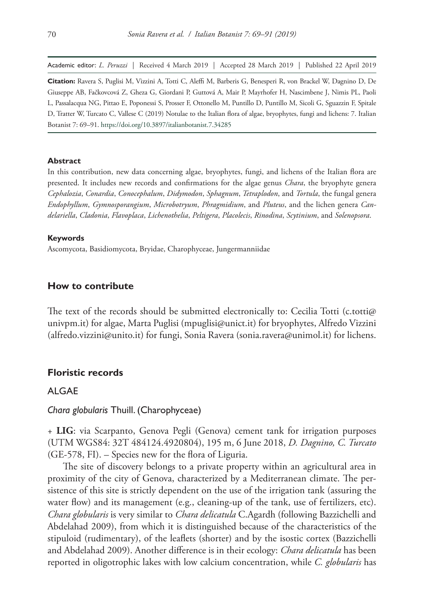Academic editor: *L. Peruzzi* | Received 4 March 2019 | Accepted 28 March 2019 | Published 22 April 2019

**Citation:** Ravera S, Puglisi M, Vizzini A, Totti C, Aleffi M, Barberis G, Benesperi R, von Brackel W, Dagnino D, De Giuseppe AB, Fačkovcová Z, Gheza G, Giordani P, Guttová A, Mair P, Mayrhofer H, Nascimbene J, Nimis PL, Paoli L, Passalacqua NG, Pittao E, Poponessi S, Prosser F, Ottonello M, Puntillo D, Puntillo M, Sicoli G, Sguazzin F, Spitale D, Tratter W, Turcato C, Vallese C (2019) Notulae to the Italian flora of algae, bryophytes, fungi and lichens: 7. Italian Botanist 7: 69–91.<https://doi.org/10.3897/italianbotanist.7.34285>

#### **Abstract**

In this contribution, new data concerning algae, bryophytes, fungi, and lichens of the Italian flora are presented. It includes new records and confirmations for the algae genus *Chara*, the bryophyte genera *Cephalozia*, *Conardia*, *Conocephalum*, *Didymodon*, *Sphagnum*, *Tetraplodon*, and *Tortula*, the fungal genera *Endophyllum*, *Gymnosporangium*, *Microbotryum*, *Phragmidium*, and *Pluteus*, and the lichen genera *Candelariella*, *Cladonia*, *Flavoplaca*, *Lichenothelia*, *Peltigera*, *Placolecis*, *Rinodina*, *Scytinium*, and *Solenopsora*.

#### **Keywords**

Ascomycota, Basidiomycota, Bryidae, Charophyceae, Jungermanniidae

## **How to contribute**

The text of the records should be submitted electronically to: Cecilia Totti [\(c.totti@](mailto:c.totti@univpm.it)) [univpm.it\)](mailto:c.totti@univpm.it) for algae, Marta Puglisi [\(mpuglisi@unict.it](mailto:mpuglisi@unict.it)) for bryophytes, Alfredo Vizzini ([alfredo.vizzini@unito.it](mailto:alfredo.vizzini@unito.it)) for fungi, Sonia Ravera [\(sonia.ravera@unimol.it\)](mailto:sonia.ravera@unimol.it) for lichens.

## **Floristic records**

# ALGAE

## *Chara globularis* Thuill. (Charophyceae)

+ **LIG**: via Scarpanto, Genova Pegli (Genova) cement tank for irrigation purposes (UTM WGS84: 32T 484124.4920804), 195 m, 6 June 2018, *D. Dagnino, C. Turcato* (GE-578, FI). – Species new for the flora of Liguria.

The site of discovery belongs to a private property within an agricultural area in proximity of the city of Genova, characterized by a Mediterranean climate. The persistence of this site is strictly dependent on the use of the irrigation tank (assuring the water flow) and its management (e.g., cleaning-up of the tank, use of fertilizers, etc). *Chara globularis* is very similar to *Chara delicatula* C.Agardh (following Bazzichelli and Abdelahad 2009), from which it is distinguished because of the characteristics of the stipuloid (rudimentary), of the leaflets (shorter) and by the isostic cortex (Bazzichelli and Abdelahad 2009). Another difference is in their ecology: *Chara delicatula* has been reported in oligotrophic lakes with low calcium concentration, while *C. globularis* has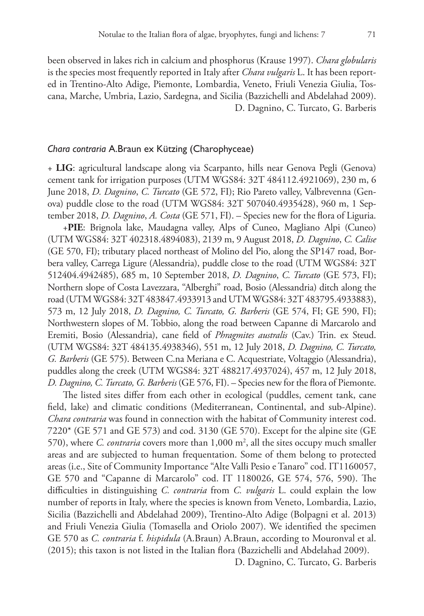been observed in lakes rich in calcium and phosphorus (Krause 1997). *Chara globularis* is the species most frequently reported in Italy after *Chara vulgaris* L. It has been reported in Trentino-Alto Adige, Piemonte, Lombardia, Veneto, Friuli Venezia Giulia, Toscana, Marche, Umbria, Lazio, Sardegna, and Sicilia (Bazzichelli and Abdelahad 2009). D. Dagnino, C. Turcato, G. Barberis

## *Chara contraria* A.Braun ex Kützing (Charophyceae)

+ **LIG**: agricultural landscape along via Scarpanto, hills near Genova Pegli (Genova) cement tank for irrigation purposes (UTM WGS84: 32T 484112.4921069), 230 m, 6 June 2018, *D. Dagnino*, *C. Turcato* (GE 572, FI); Rio Pareto valley, Valbrevenna (Genova) puddle close to the road (UTM WGS84: 32T 507040.4935428), 960 m, 1 September 2018, *D. Dagnino*, *A. Costa* (GE 571, FI). – Species new for the flora of Liguria.

+**PIE**: Brignola lake, Maudagna valley, Alps of Cuneo, Magliano Alpi (Cuneo) (UTM WGS84: 32T 402318.4894083), 2139 m, 9 August 2018, *D. Dagnino*, *C. Calise* (GE 570, FI); tributary placed northeast of Molino del Pio, along the SP147 road, Borbera valley, Carrega Ligure (Alessandria), puddle close to the road (UTM WGS84: 32T 512404.4942485), 685 m, 10 September 2018, *D. Dagnino*, *C. Turcato* (GE 573, FI); Northern slope of Costa Lavezzara, "Alberghi" road, Bosio (Alessandria) ditch along the road (UTM WGS84: 32T 483847.4933913 and UTM WGS84: 32T 483795.4933883), 573 m, 12 July 2018, *D. Dagnino, C. Turcato, G. Barberis* (GE 574, FI; GE 590, FI); Northwestern slopes of M. Tobbio, along the road between Capanne di Marcarolo and Eremiti, Bosio (Alessandria), cane field of *Phragmites australis* (Cav.) Trin. ex Steud. (UTM WGS84: 32T 484135.4938346), 551 m, 12 July 2018, *D. Dagnino, C. Turcato, G. Barberis* (GE 575). Between C.na Meriana e C. Acquestriate, Voltaggio (Alessandria), puddles along the creek (UTM WGS84: 32T 488217.4937024), 457 m, 12 July 2018, *D. Dagnino, C. Turcato, G. Barberis* (GE 576, FI). – Species new for the flora of Piemonte.

The listed sites differ from each other in ecological (puddles, cement tank, cane field, lake) and climatic conditions (Mediterranean, Continental, and sub-Alpine). *Chara contraria* was found in connection with the habitat of Community interest cod. 7220\* (GE 571 and GE 573) and cod. 3130 (GE 570). Except for the alpine site (GE 570), where *C. contraria* covers more than 1,000 m2 , all the sites occupy much smaller areas and are subjected to human frequentation. Some of them belong to protected areas (i.e., Site of Community Importance "Alte Valli Pesio e Tanaro" cod. IT1160057, GE 570 and "Capanne di Marcarolo" cod. IT 1180026, GE 574, 576, 590). The difficulties in distinguishing *C. contraria* from *C. vulgaris* L. could explain the low number of reports in Italy, where the species is known from Veneto, Lombardia, Lazio, Sicilia (Bazzichelli and Abdelahad 2009), Trentino-Alto Adige (Bolpagni et al. 2013) and Friuli Venezia Giulia (Tomasella and Oriolo 2007). We identified the specimen GE 570 as *C. contraria* f. *hispidula* (A.Braun) A.Braun, according to Mouronval et al. (2015); this taxon is not listed in the Italian flora (Bazzichelli and Abdelahad 2009).

D. Dagnino, C. Turcato, G. Barberis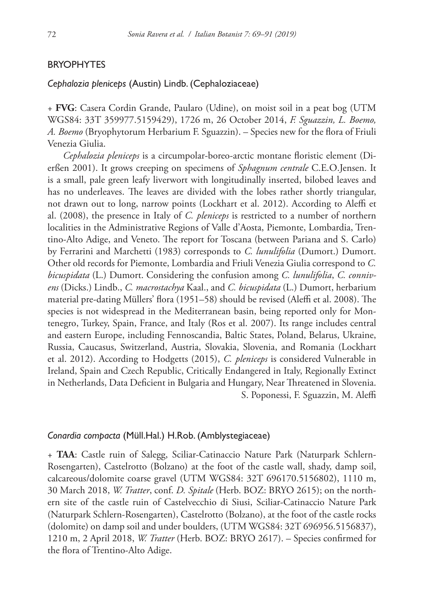## BRYOPHYTES

## *Cephalozia pleniceps* (Austin) Lindb. (Cephaloziaceae)

+ **FVG**: Casera Cordin Grande, Paularo (Udine), on moist soil in a peat bog (UTM WGS84: 33T 359977.5159429), 1726 m, 26 October 2014, *F. Sguazzin, L. Boemo, A. Boemo* (Bryophytorum Herbarium F. Sguazzin). – Species new for the flora of Friuli Venezia Giulia.

*Cephalozia pleniceps* is a circumpolar-boreo-arctic montane floristic element (Dierßen 2001). It grows creeping on specimens of *Sphagnum centrale* C.E.O.Jensen. It is a small, pale green leafy liverwort with longitudinally inserted, bilobed leaves and has no underleaves. The leaves are divided with the lobes rather shortly triangular, not drawn out to long, narrow points (Lockhart et al. 2012). According to Aleffi et al. (2008), the presence in Italy of *C. pleniceps* is restricted to a number of northern localities in the Administrative Regions of Valle d'Aosta, Piemonte, Lombardia, Trentino-Alto Adige, and Veneto. The report for Toscana (between Pariana and S. Carlo) by Ferrarini and Marchetti (1983) corresponds to *C. lunulifolia* (Dumort.) Dumort. Other old records for Piemonte, Lombardia and Friuli Venezia Giulia correspond to *C. bicuspidata* (L.) Dumort. Considering the confusion among *C. lunulifolia*, *C. connivens* (Dicks.) Lindb., *C. macrostachya* Kaal., and *C. bicuspidata* (L.) Dumort, herbarium material pre-dating Müllers' flora (1951–58) should be revised (Aleffi et al. 2008). The species is not widespread in the Mediterranean basin, being reported only for Montenegro, Turkey, Spain, France, and Italy (Ros et al. 2007). Its range includes central and eastern Europe, including Fennoscandia, Baltic States, Poland, Belarus, Ukraine, Russia, Caucasus, Switzerland, Austria, Slovakia, Slovenia, and Romania (Lockhart et al. 2012). According to Hodgetts (2015), *C. pleniceps* is considered Vulnerable in Ireland, Spain and Czech Republic, Critically Endangered in Italy, Regionally Extinct in Netherlands, Data Deficient in Bulgaria and Hungary, Near Threatened in Slovenia. S. Poponessi, F. Sguazzin, M. Aleffi

## *Conardia compacta* (Müll.Hal.) H.Rob. (Amblystegiaceae)

+ **TAA**: Castle ruin of Salegg, Sciliar-Catinaccio Nature Park (Naturpark Schlern-Rosengarten), Castelrotto (Bolzano) at the foot of the castle wall, shady, damp soil, calcareous/dolomite coarse gravel (UTM WGS84: 32T 696170.5156802), 1110 m, 30 March 2018, *W. Tratter*, conf. *D. Spitale* (Herb. BOZ: BRYO 2615); on the northern site of the castle ruin of Castelvecchio di Siusi, Sciliar-Catinaccio Nature Park (Naturpark Schlern-Rosengarten), Castelrotto (Bolzano), at the foot of the castle rocks (dolomite) on damp soil and under boulders, (UTM WGS84: 32T 696956.5156837), 1210 m, 2 April 2018, *W. Tratter* (Herb. BOZ: BRYO 2617). – Species confirmed for the flora of Trentino-Alto Adige.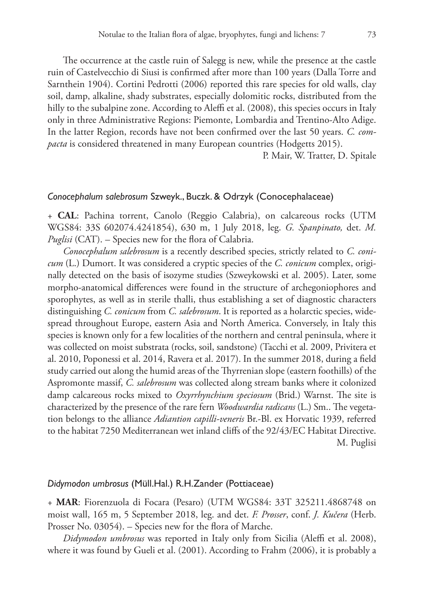The occurrence at the castle ruin of Salegg is new, while the presence at the castle ruin of Castelvecchio di Siusi is confirmed after more than 100 years (Dalla Torre and Sarnthein 1904). Cortini Pedrotti (2006) reported this rare species for old walls, clay soil, damp, alkaline, shady substrates, especially dolomitic rocks, distributed from the hilly to the subalpine zone. According to Aleffi et al. (2008), this species occurs in Italy only in three Administrative Regions: Piemonte, Lombardia and Trentino-Alto Adige. In the latter Region, records have not been confirmed over the last 50 years. *C. compacta* is considered threatened in many European countries (Hodgetts 2015).

P. Mair, W. Tratter, D. Spitale

## *Conocephalum salebrosum* Szweyk., Buczk. & Odrzyk (Conocephalaceae)

+ **CAL**: Pachina torrent, Canolo (Reggio Calabria), on calcareous rocks (UTM WGS84: 33S 602074.4241854), 630 m, 1 July 2018, leg. *G. Spanpinato,* det. *M. Puglisi* (CAT). – Species new for the flora of Calabria.

*Conocephalum salebrosum* is a recently described species, strictly related to *C. conicum* (L.) Dumort. It was considered a cryptic species of the *C. conicum* complex, originally detected on the basis of isozyme studies (Szweykowski et al. 2005). Later, some morpho-anatomical differences were found in the structure of archegoniophores and sporophytes, as well as in sterile thalli, thus establishing a set of diagnostic characters distinguishing *C. conicum* from *C. salebrosum*. It is reported as a holarctic species, widespread throughout Europe, eastern Asia and North America. Conversely, in Italy this species is known only for a few localities of the northern and central peninsula, where it was collected on moist substrata (rocks, soil, sandstone) (Tacchi et al. 2009, Privitera et al. 2010, Poponessi et al. 2014, Ravera et al. 2017). In the summer 2018, during a field study carried out along the humid areas of the Thyrrenian slope (eastern foothills) of the Aspromonte massif, *C. salebrosum* was collected along stream banks where it colonized damp calcareous rocks mixed to *Oxyrrhynchium speciosum* (Brid.) Warnst. The site is characterized by the presence of the rare fern *Woodwardia radicans* (L.) Sm.. The vegetation belongs to the alliance *Adiantion capilli-veneris* Br.-Bl. ex Horvatic 1939, referred to the habitat 7250 Mediterranean wet inland cliffs of the 92/43/EC Habitat Directive. M. Puglisi

#### *Didymodon umbrosus* (Müll.Hal.) R.H.Zander (Pottiaceae)

+ **MAR**: Fiorenzuola di Focara (Pesaro) (UTM WGS84: 33T 325211.4868748 on moist wall, 165 m, 5 September 2018, leg. and det. *F. Prosser*, conf. *J. Kučera* (Herb. Prosser No. 03054). – Species new for the flora of Marche.

*Didymodon umbrosus* was reported in Italy only from Sicilia (Aleffi et al. 2008), where it was found by Gueli et al. (2001). According to Frahm (2006), it is probably a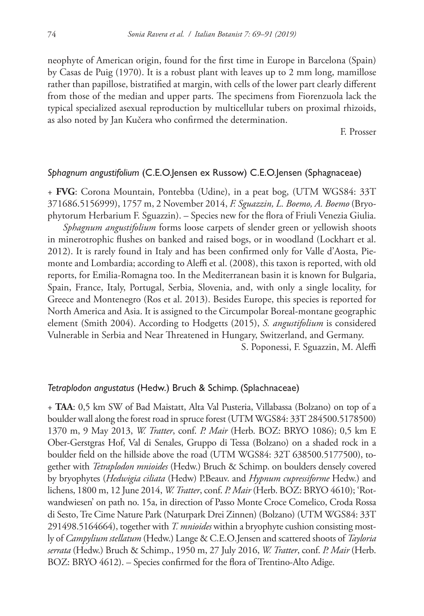neophyte of American origin, found for the first time in Europe in Barcelona (Spain) by Casas de Puig (1970). It is a robust plant with leaves up to 2 mm long, mamillose rather than papillose, bistratified at margin, with cells of the lower part clearly different from those of the median and upper parts. The specimens from Fiorenzuola lack the typical specialized asexual reproduction by multicellular tubers on proximal rhizoids, as also noted by Jan Kučera who confirmed the determination.

F. Prosser

## *Sphagnum angustifolium* (C.E.O.Jensen ex Russow) C.E.O.Jensen (Sphagnaceae)

+ **FVG**: Corona Mountain, Pontebba (Udine), in a peat bog, (UTM WGS84: 33T 371686.5156999), 1757 m, 2 November 2014, *F. Sguazzin, L. Boemo, A. Boemo* (Bryophytorum Herbarium F. Sguazzin). – Species new for the flora of Friuli Venezia Giulia.

*Sphagnum angustifolium* forms loose carpets of slender green or yellowish shoots in minerotrophic flushes on banked and raised bogs, or in woodland (Lockhart et al. 2012). It is rarely found in Italy and has been confirmed only for Valle d'Aosta, Piemonte and Lombardia; according to Aleffi et al. (2008), this taxon is reported, with old reports, for Emilia-Romagna too. In the Mediterranean basin it is known for Bulgaria, Spain, France, Italy, Portugal, Serbia, Slovenia, and, with only a single locality, for Greece and Montenegro (Ros et al. 2013). Besides Europe, this species is reported for North America and Asia. It is assigned to the Circumpolar Boreal-montane geographic element (Smith 2004). According to Hodgetts (2015), *S. angustifolium* is considered Vulnerable in Serbia and Near Threatened in Hungary, Switzerland, and Germany.

S. Poponessi, F. Sguazzin, M. Aleffi

## *Tetraplodon angustatus* (Hedw.) Bruch & Schimp. (Splachnaceae)

+ **TAA**: 0,5 km SW of Bad Maistatt, Alta Val Pusteria, Villabassa (Bolzano) on top of a boulder wall along the forest road in spruce forest (UTM WGS84: 33T 284500.5178500) 1370 m, 9 May 2013, *W. Tratter*, conf. *P. Mair* (Herb. BOZ: BRYO 1086); 0,5 km E Ober-Gerstgras Hof, Val di Senales, Gruppo di Tessa (Bolzano) on a shaded rock in a boulder field on the hillside above the road (UTM WGS84: 32T 638500.5177500), together with *Tetraplodon mnioides* (Hedw.) Bruch & Schimp. on boulders densely covered by bryophytes (*Hedwigia ciliata* (Hedw) P.Beauv. and *Hypnum cupressiforme* Hedw.) and lichens, 1800 m, 12 June 2014, *W. Tratter*, conf. *P. Mair* (Herb. BOZ: BRYO 4610); 'Rotwandwiesen' on path no. 15a, in direction of Passo Monte Croce Comelico, Croda Rossa di Sesto, Tre Cime Nature Park (Naturpark Drei Zinnen) (Bolzano) (UTM WGS84: 33T 291498.5164664), together with *T. mnioides* within a bryophyte cushion consisting mostly of *Campylium stellatum* (Hedw.) Lange & C.E.O.Jensen and scattered shoots of *Tayloria serrata* (Hedw.) Bruch & Schimp., 1950 m, 27 July 2016, *W. Tratter*, conf. *P. Mair* (Herb. BOZ: BRYO 4612). – Species confirmed for the flora of Trentino-Alto Adige.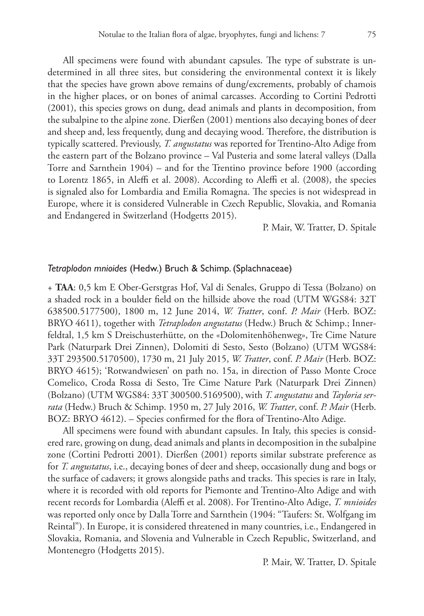All specimens were found with abundant capsules. The type of substrate is undetermined in all three sites, but considering the environmental context it is likely that the species have grown above remains of dung/excrements, probably of chamois in the higher places, or on bones of animal carcasses. According to Cortini Pedrotti (2001), this species grows on dung, dead animals and plants in decomposition, from the subalpine to the alpine zone. Dierßen (2001) mentions also decaying bones of deer and sheep and, less frequently, dung and decaying wood. Therefore, the distribution is typically scattered. Previously, *T. angustatus* was reported for Trentino-Alto Adige from the eastern part of the Bolzano province – Val Pusteria and some lateral valleys (Dalla Torre and Sarnthein 1904) – and for the Trentino province before 1900 (according to Lorentz 1865, in Aleffi et al. 2008). According to Aleffi et al. (2008), the species is signaled also for Lombardia and Emilia Romagna. The species is not widespread in Europe, where it is considered Vulnerable in Czech Republic, Slovakia, and Romania and Endangered in Switzerland (Hodgetts 2015).

## P. Mair, W. Tratter, D. Spitale

## *Tetraplodon mnioides* (Hedw.) Bruch & Schimp. (Splachnaceae)

+ **TAA**: 0,5 km E Ober-Gerstgras Hof, Val di Senales, Gruppo di Tessa (Bolzano) on a shaded rock in a boulder field on the hillside above the road (UTM WGS84: 32T 638500.5177500), 1800 m, 12 June 2014, *W. Tratter*, conf. *P. Mair* (Herb. BOZ: BRYO 4611), together with *Tetraplodon angustatus* (Hedw.) Bruch & Schimp.; Innerfeldtal, 1,5 km S Dreischusterhütte, on the «Dolomitenhöhenweg», Tre Cime Nature Park (Naturpark Drei Zinnen), Dolomiti di Sesto, Sesto (Bolzano) (UTM WGS84: 33T 293500.5170500), 1730 m, 21 July 2015, *W. Tratter*, conf. *P. Mair* (Herb. BOZ: BRYO 4615); 'Rotwandwiesen' on path no. 15a, in direction of Passo Monte Croce Comelico, Croda Rossa di Sesto, Tre Cime Nature Park (Naturpark Drei Zinnen) (Bolzano) (UTM WGS84: 33T 300500.5169500), with *T. angustatus* and *Tayloria serrata* (Hedw.) Bruch & Schimp. 1950 m, 27 July 2016, *W. Tratter*, conf. *P. Mair* (Herb. BOZ: BRYO 4612). – Species confirmed for the flora of Trentino-Alto Adige.

All specimens were found with abundant capsules. In Italy, this species is considered rare, growing on dung, dead animals and plants in decomposition in the subalpine zone (Cortini Pedrotti 2001). Dierßen (2001) reports similar substrate preference as for *T. angustatus*, i.e., decaying bones of deer and sheep, occasionally dung and bogs or the surface of cadavers; it grows alongside paths and tracks. This species is rare in Italy, where it is recorded with old reports for Piemonte and Trentino-Alto Adige and with recent records for Lombardia (Aleffi et al. 2008). For Trentino-Alto Adige, *T. mnioides* was reported only once by Dalla Torre and Sarnthein (1904: "Taufers: St. Wolfgang im Reintal"). In Europe, it is considered threatened in many countries, i.e., Endangered in Slovakia, Romania, and Slovenia and Vulnerable in Czech Republic, Switzerland, and Montenegro (Hodgetts 2015).

P. Mair, W. Tratter, D. Spitale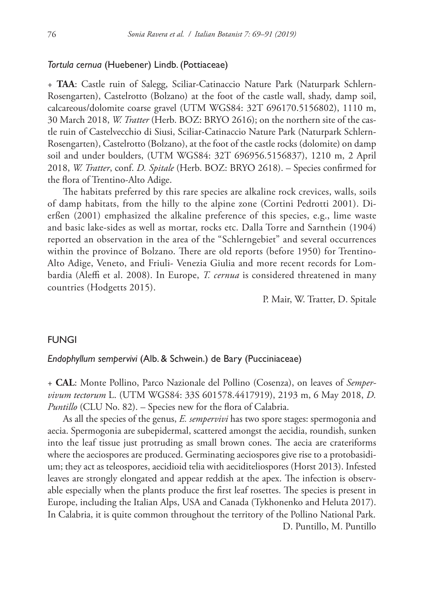## *Tortula cernua* (Huebener) Lindb. (Pottiaceae)

+ **TAA**: Castle ruin of Salegg, Sciliar-Catinaccio Nature Park (Naturpark Schlern-Rosengarten), Castelrotto (Bolzano) at the foot of the castle wall, shady, damp soil, calcareous/dolomite coarse gravel (UTM WGS84: 32T 696170.5156802), 1110 m, 30 March 2018, *W. Tratter* (Herb. BOZ: BRYO 2616); on the northern site of the castle ruin of Castelvecchio di Siusi, Sciliar-Catinaccio Nature Park (Naturpark Schlern-Rosengarten), Castelrotto (Bolzano), at the foot of the castle rocks (dolomite) on damp soil and under boulders, (UTM WGS84: 32T 696956.5156837), 1210 m, 2 April 2018, *W. Tratter*, conf. *D. Spitale* (Herb. BOZ: BRYO 2618). – Species confirmed for the flora of Trentino-Alto Adige.

The habitats preferred by this rare species are alkaline rock crevices, walls, soils of damp habitats, from the hilly to the alpine zone (Cortini Pedrotti 2001). Dierßen (2001) emphasized the alkaline preference of this species, e.g., lime waste and basic lake-sides as well as mortar, rocks etc. Dalla Torre and Sarnthein (1904) reported an observation in the area of the "Schlerngebiet" and several occurrences within the province of Bolzano. There are old reports (before 1950) for Trentino-Alto Adige, Veneto, and Friuli- Venezia Giulia and more recent records for Lombardia (Aleffi et al. 2008). In Europe, *T. cernua* is considered threatened in many countries (Hodgetts 2015).

P. Mair, W. Tratter, D. Spitale

## FUNGI

## *Endophyllum sempervivi* (Alb. & Schwein.) de Bary (Pucciniaceae)

+ **CAL**: Monte Pollino, Parco Nazionale del Pollino (Cosenza), on leaves of *Sempervivum tectorum* L. (UTM WGS84: 33S 601578.4417919), 2193 m, 6 May 2018, *D. Puntillo* (CLU No. 82). – Species new for the flora of Calabria.

As all the species of the genus, *E. sempervivi* has two spore stages: spermogonia and aecia. Spermogonia are subepidermal, scattered amongst the aecidia, roundish, sunken into the leaf tissue just protruding as small brown cones. The aecia are crateriforms where the aeciospores are produced. Germinating aeciospores give rise to a protobasidium; they act as teleospores, aecidioid telia with aeciditeliospores (Horst 2013). Infested leaves are strongly elongated and appear reddish at the apex. The infection is observable especially when the plants produce the first leaf rosettes. The species is present in Europe, including the Italian Alps, USA and Canada (Tykhonenko and Heluta 2017). In Calabria, it is quite common throughout the territory of the Pollino National Park. D. Puntillo, M. Puntillo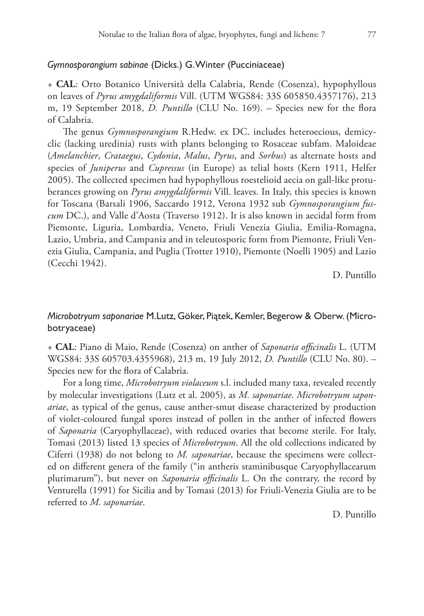# *Gymnosporangium sabinae* (Dicks.) G. Winter (Pucciniaceae)

+ **CAL**: Orto Botanico Università della Calabria, Rende (Cosenza), hypophyllous on leaves of *Pyrus amygdaliformis* Vill. (UTM WGS84: 33S 605850.4357176), 213 m, 19 September 2018, *D. Puntillo* (CLU No. 169). – Species new for the flora of Calabria.

The genus *Gymnosporangium* R.Hedw. ex DC. includes heteroecious, demicyclic (lacking uredinia) rusts with plants belonging to Rosaceae subfam. Maloideae (*Amelanchier*, *Crataegus*, *Cydonia*, *Malus*, *Pyrus*, and *Sorbus*) as alternate hosts and species of *Juniperus* and *Cupressus* (in Europe) as telial hosts (Kern 1911, Helfer 2005). The collected specimen had hypophyllous roestelioid aecia on gall-like protuberances growing on *Pyrus amygdaliformis* Vill. leaves. In Italy, this species is known for Toscana (Barsali 1906, Saccardo 1912, Verona 1932 sub *Gymnosporangium fuscum* DC.), and Valle d'Aosta (Traverso 1912). It is also known in aecidal form from Piemonte, Liguria, Lombardia, Veneto, Friuli Venezia Giulia, Emilia-Romagna, Lazio, Umbria, and Campania and in teleutosporic form from Piemonte, Friuli Venezia Giulia, Campania, and Puglia (Trotter 1910), Piemonte (Noelli 1905) and Lazio (Cecchi 1942).

D. Puntillo

# *Microbotryum saponariae* M.Lutz, Göker, Piątek, Kemler, Begerow & Oberw. (Microbotryaceae)

+ **CAL**: Piano di Maio, Rende (Cosenza) on anther of *Saponaria officinalis* L. (UTM WGS84: 33S 605703.4355968), 213 m, 19 July 2012, *D. Puntillo* (CLU No. 80). – Species new for the flora of Calabria.

For a long time, *Microbotryum violaceum* s.l. included many taxa, revealed recently by molecular investigations (Lutz et al. 2005), as *M. saponariae*. *Microbotryum saponariae*, as typical of the genus, cause anther-smut disease characterized by production of violet-coloured fungal spores instead of pollen in the anther of infected flowers of *Saponaria* (Caryophyllaceae), with reduced ovaries that become sterile. For Italy, Tomasi (2013) listed 13 species of *Microbotryum*. All the old collections indicated by Ciferri (1938) do not belong to *M. saponariae*, because the specimens were collected on different genera of the family ("in antheris staminibusque Caryophyllacearum plurimarum"), but never on *Saponaria officinalis* L. On the contrary, the record by Venturella (1991) for Sicilia and by Tomasi (2013) for Friuli-Venezia Giulia are to be referred to *M. saponariae*.

D. Puntillo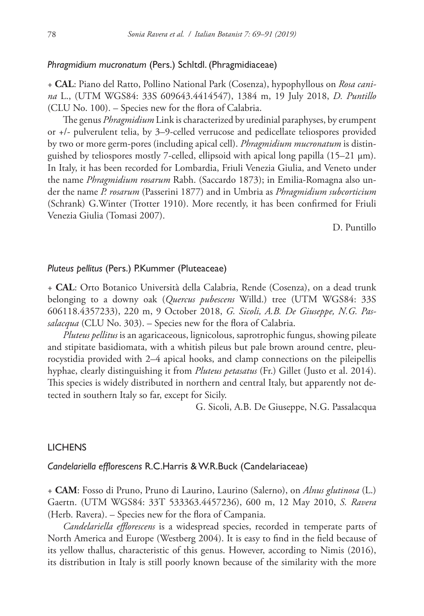## *Phragmidium mucronatum* (Pers.) Schltdl. (Phragmidiaceae)

+ **CAL**: Piano del Ratto, Pollino National Park (Cosenza), hypophyllous on *Rosa canina* L., (UTM WGS84: 33S 609643.4414547), 1384 m, 19 July 2018, *D. Puntillo* (CLU No. 100). – Species new for the flora of Calabria.

The genus *Phragmidium* Link is characterized by uredinial paraphyses, by erumpent or +/- pulverulent telia, by 3–9-celled verrucose and pedicellate teliospores provided by two or more germ-pores (including apical cell). *Phragmidium mucronatum* is distinguished by teliospores mostly 7-celled, ellipsoid with apical long papilla (15–21 μm). In Italy, it has been recorded for Lombardia, Friuli Venezia Giulia, and Veneto under the name *Phragmidium rosarum* Rabh. (Saccardo 1873); in Emilia-Romagna also under the name *P. rosarum* (Passerini 1877) and in Umbria as *Phragmidium subcorticium* (Schrank) G.Winter (Trotter 1910). More recently, it has been confirmed for Friuli Venezia Giulia (Tomasi 2007).

D. Puntillo

## *Pluteus pellitus* (Pers.) P.Kummer (Pluteaceae)

+ **CAL**: Orto Botanico Università della Calabria, Rende (Cosenza), on a dead trunk belonging to a downy oak (*Quercus pubescens* Willd.) tree (UTM WGS84: 33S 606118.4357233), 220 m, 9 October 2018, *G. Sicoli, A.B. De Giuseppe, N.G. Passalacqua* (CLU No. 303). – Species new for the flora of Calabria.

*Pluteus pellitus* is an agaricaceous, lignicolous, saprotrophic fungus, showing pileate and stipitate basidiomata, with a whitish pileus but pale brown around centre, pleurocystidia provided with 2–4 apical hooks, and clamp connections on the pileipellis hyphae, clearly distinguishing it from *Pluteus petasatus* (Fr.) Gillet (Justo et al. 2014). This species is widely distributed in northern and central Italy, but apparently not detected in southern Italy so far, except for Sicily.

G. Sicoli, A.B. De Giuseppe, N.G. Passalacqua

### LICHENS

## *Candelariella efflorescens* R.C.Harris & W.R.Buck (Candelariaceae)

+ **CAM**: Fosso di Pruno, Pruno di Laurino, Laurino (Salerno), on *Alnus glutinosa* (L.) Gaertn. (UTM WGS84: 33T 533363.4457236), 600 m, 12 May 2010, *S. Ravera* (Herb. Ravera). – Species new for the flora of Campania.

*Candelariella efflorescens* is a widespread species, recorded in temperate parts of North America and Europe (Westberg 2004). It is easy to find in the field because of its yellow thallus, characteristic of this genus. However, according to Nimis (2016), its distribution in Italy is still poorly known because of the similarity with the more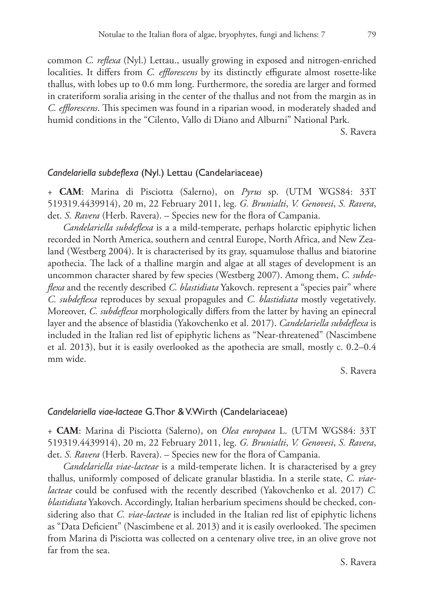common *C. reflexa* (Nyl.) Lettau., usually growing in exposed and nitrogen-enriched localities. It differs from *C. efflorescens* by its distinctly effigurate almost rosette-like thallus, with lobes up to 0.6 mm long. Furthermore, the soredia are larger and formed in crateriform soralia arising in the center of the thallus and not from the margin as in *C. efflorescens*. This specimen was found in a riparian wood, in moderately shaded and humid conditions in the "Cilento, Vallo di Diano and Alburni" National Park.

S. Ravera

## *Candelariella subdeflexa* (Nyl.) Lettau (Candelariaceae)

+ **CAM**: Marina di Pisciotta (Salerno), on *Pyrus* sp. (UTM WGS84: 33T 519319.4439914), 20 m, 22 February 2011, leg. *G. Brunialti*, *V. Genovesi*, *S. Ravera*, det. *S. Ravera* (Herb. Ravera). – Species new for the flora of Campania.

*Candelariella subdeflexa* is a a mild-temperate, perhaps holarctic epiphytic lichen recorded in North America, southern and central Europe, North Africa, and New Zealand (Westberg 2004). It is characterised by its gray, squamulose thallus and biatorine apothecia. The lack of a thalline margin and algae at all stages of development is an uncommon character shared by few species (Westberg 2007). Among them, *C. subdeflexa* and the recently described *C. blastidiata* Yakovch. represent a "species pair" where *C. subdeflexa* reproduces by sexual propagules and *C. blastidiata* mostly vegetatively. Moreover, *C. subdeflexa* morphologically differs from the latter by having an epinecral layer and the absence of blastidia (Yakovchenko et al. 2017). *Candelariella subdeflexa* is included in the Italian red list of epiphytic lichens as "Near-threatened" (Nascimbene et al. 2013), but it is easily overlooked as the apothecia are small, mostly c. 0.2–0.4 mm wide.

S. Ravera

## *Candelariella viae-lacteae* G.Thor & V.Wirth (Candelariaceae)

+ **CAM**: Marina di Pisciotta (Salerno), on *Olea europaea* L. (UTM WGS84: 33T 519319.4439914), 20 m, 22 February 2011, leg. *G. Brunialti*, *V. Genovesi*, *S. Ravera*, det. *S. Ravera* (Herb. Ravera). – Species new for the flora of Campania.

*Candelariella viae-lacteae* is a mild-temperate lichen. It is characterised by a grey thallus, uniformly composed of delicate granular blastidia. In a sterile state, *C. viaelacteae* could be confused with the recently described (Yakovchenko et al. 2017) *C. blastidiata* Yakovch. Accordingly, Italian herbarium specimens should be checked, considering also that *C. viae-lacteae* is included in the Italian red list of epiphytic lichens as "Data Deficient" (Nascimbene et al. 2013) and it is easily overlooked. The specimen from Marina di Pisciotta was collected on a centenary olive tree, in an olive grove not far from the sea.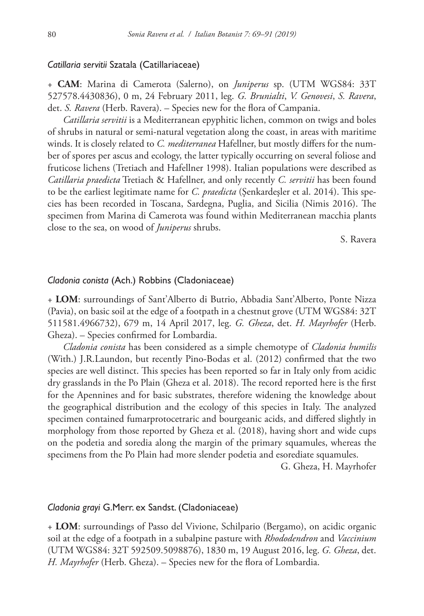## *Catillaria servitii* Szatala (Catillariaceae)

+ **CAM**: Marina di Camerota (Salerno), on *Juniperus* sp. (UTM WGS84: 33T 527578.4430836), 0 m, 24 February 2011, leg. *G. Brunialti*, *V. Genovesi*, *S. Ravera*, det. *S. Ravera* (Herb. Ravera). – Species new for the flora of Campania.

*Catillaria servitii* is a Mediterranean epyphitic lichen, common on twigs and boles of shrubs in natural or semi-natural vegetation along the coast, in areas with maritime winds. It is closely related to *C. mediterranea* Hafellner, but mostly differs for the number of spores per ascus and ecology, the latter typically occurring on several foliose and fruticose lichens (Tretiach and Hafellner 1998). Italian populations were described as *Catillaria praedicta* Tretiach & Hafellner, and only recently *C. servitii* has been found to be the earliest legitimate name for *C. praedicta* (Şenkardeşler et al. 2014). This species has been recorded in Toscana, Sardegna, Puglia, and Sicilia (Nimis 2016). The specimen from Marina di Camerota was found within Mediterranean macchia plants close to the sea, on wood of *Juniperus* shrubs.

S. Ravera

## *Cladonia conista* (Ach.) Robbins (Cladoniaceae)

+ **LOM**: surroundings of Sant'Alberto di Butrio, Abbadia Sant'Alberto, Ponte Nizza (Pavia), on basic soil at the edge of a footpath in a chestnut grove (UTM WGS84: 32T 511581.4966732), 679 m, 14 April 2017, leg. *G. Gheza*, det. *H. Mayrhofer* (Herb. Gheza). – Species confirmed for Lombardia.

*Cladonia conista* has been considered as a simple chemotype of *Cladonia humilis* (With.) J.R.Laundon, but recently Pino-Bodas et al. (2012) confirmed that the two species are well distinct. This species has been reported so far in Italy only from acidic dry grasslands in the Po Plain (Gheza et al. 2018). The record reported here is the first for the Apennines and for basic substrates, therefore widening the knowledge about the geographical distribution and the ecology of this species in Italy. The analyzed specimen contained fumarprotocetraric and bourgeanic acids, and differed slightly in morphology from those reported by Gheza et al. (2018), having short and wide cups on the podetia and soredia along the margin of the primary squamules, whereas the specimens from the Po Plain had more slender podetia and esorediate squamules.

G. Gheza, H. Mayrhofer

#### *Cladonia grayi* G.Merr. ex Sandst. (Cladoniaceae)

+ **LOM**: surroundings of Passo del Vivione, Schilpario (Bergamo), on acidic organic soil at the edge of a footpath in a subalpine pasture with *Rhododendron* and *Vaccinium* (UTM WGS84: 32T 592509.5098876), 1830 m, 19 August 2016, leg. *G. Gheza*, det. *H. Mayrhofer* (Herb. Gheza). – Species new for the flora of Lombardia.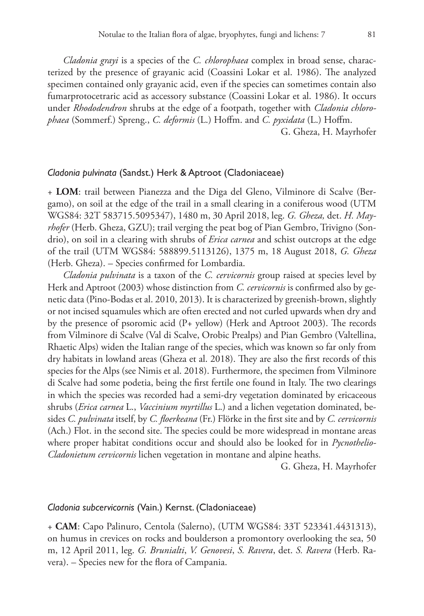*Cladonia grayi* is a species of the *C. chlorophaea* complex in broad sense, characterized by the presence of grayanic acid (Coassini Lokar et al. 1986). The analyzed specimen contained only grayanic acid, even if the species can sometimes contain also fumarprotocetraric acid as accessory substance (Coassini Lokar et al. 1986). It occurs under *Rhododendron* shrubs at the edge of a footpath, together with *Cladonia chlorophaea* (Sommerf.) Spreng., *C. deformis* (L.) Hoffm. and *C. pyxidata* (L.) Hoffm.

G. Gheza, H. Mayrhofer

#### *Cladonia pulvinata* (Sandst.) Herk & Aptroot (Cladoniaceae)

+ **LOM**: trail between Pianezza and the Diga del Gleno, Vilminore di Scalve (Bergamo), on soil at the edge of the trail in a small clearing in a coniferous wood (UTM WGS84: 32T 583715.5095347), 1480 m, 30 April 2018, leg. *G. Gheza,* det. *H. Mayrhofer* (Herb. Gheza, GZU); trail verging the peat bog of Pian Gembro, Trivigno (Sondrio), on soil in a clearing with shrubs of *Erica carnea* and schist outcrops at the edge of the trail (UTM WGS84: 588899.5113126), 1375 m, 18 August 2018, *G. Gheza* (Herb. Gheza). – Species confirmed for Lombardia.

*Cladonia pulvinata* is a taxon of the *C. cervicornis* group raised at species level by Herk and Aptroot (2003) whose distinction from *C. cervicornis* is confirmed also by genetic data (Pino-Bodas et al. 2010, 2013). It is characterized by greenish-brown, slightly or not incised squamules which are often erected and not curled upwards when dry and by the presence of psoromic acid (P+ yellow) (Herk and Aptroot 2003). The records from Vilminore di Scalve (Val di Scalve, Orobic Prealps) and Pian Gembro (Valtellina, Rhaetic Alps) widen the Italian range of the species, which was known so far only from dry habitats in lowland areas (Gheza et al. 2018). They are also the first records of this species for the Alps (see Nimis et al. 2018). Furthermore, the specimen from Vilminore di Scalve had some podetia, being the first fertile one found in Italy. The two clearings in which the species was recorded had a semi-dry vegetation dominated by ericaceous shrubs (*Erica carnea* L., *Vaccinium myrtillus* L.) and a lichen vegetation dominated, besides *C. pulvinata* itself, by *C. floerkeana* (Fr.) Flörke in the first site and by *C. cervicornis* (Ach.) Flot. in the second site. The species could be more widespread in montane areas where proper habitat conditions occur and should also be looked for in *Pycnothelio-Cladonietum cervicornis* lichen vegetation in montane and alpine heaths.

G. Gheza, H. Mayrhofer

#### *Cladonia subcervicornis* (Vain.) Kernst. (Cladoniaceae)

+ **CAM**: Capo Palinuro, Centola (Salerno), (UTM WGS84: 33T 523341.4431313), on humus in crevices on rocks and boulderson a promontory overlooking the sea, 50 m, 12 April 2011, leg. *G. Brunialti*, *V. Genovesi*, *S. Ravera*, det. *S. Ravera* (Herb. Ravera). – Species new for the flora of Campania.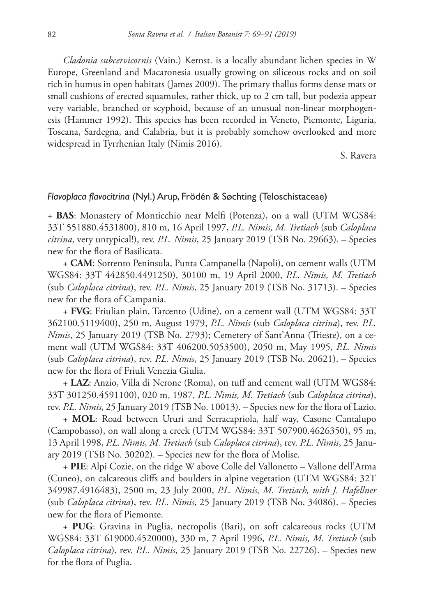*Cladonia subcervicornis* (Vain.) Kernst. is a locally abundant lichen species in W Europe, Greenland and Macaronesia usually growing on siliceous rocks and on soil rich in humus in open habitats (James 2009). The primary thallus forms dense mats or small cushions of erected squamules, rather thick, up to 2 cm tall, but podezia appear very variable, branched or scyphoid, because of an unusual non-linear morphogenesis (Hammer 1992). This species has been recorded in Veneto, Piemonte, Liguria, Toscana, Sardegna, and Calabria, but it is probably somehow overlooked and more widespread in Tyrrhenian Italy (Nimis 2016).

S. Ravera

## *Flavoplaca flavocitrina* (Nyl.) Arup, Frödén & Søchting (Teloschistaceae)

+ **BAS**: Monastery of Monticchio near Melfi (Potenza), on a wall (UTM WGS84: 33T 551880.4531800), 810 m, 16 April 1997, *P.L. Nimis, M. Tretiach* (sub *Caloplaca citrina*, very untypical!), rev. *P.L. Nimis*, 25 January 2019 (TSB No. 29663). – Species new for the flora of Basilicata.

+ **CAM**: Sorrento Peninsula, Punta Campanella (Napoli), on cement walls (UTM WGS84: 33T 442850.4491250), 30100 m, 19 April 2000, *P.L. Nimis, M. Tretiach* (sub *Caloplaca citrina*), rev. *P.L. Nimis*, 25 January 2019 (TSB No. 31713). – Species new for the flora of Campania.

+ **FVG**: Friulian plain, Tarcento (Udine), on a cement wall (UTM WGS84: 33T 362100.5119400), 250 m, August 1979, *P.L. Nimis* (sub *Caloplaca citrina*), rev. *P.L. Nimis*, 25 January 2019 (TSB No. 2793); Cemetery of Sant'Anna (Trieste), on a cement wall (UTM WGS84: 33T 406200.5053500), 2050 m, May 1995, *P.L. Nimis* (sub *Caloplaca citrina*), rev. *P.L. Nimis*, 25 January 2019 (TSB No. 20621). – Species new for the flora of Friuli Venezia Giulia.

+ **LAZ**: Anzio, Villa di Nerone (Roma), on tuff and cement wall (UTM WGS84: 33T 301250.4591100), 020 m, 1987, *P.L. Nimis, M. Tretiach* (sub *Caloplaca citrina*), rev. *P.L. Nimis*, 25 January 2019 (TSB No. 10013). – Species new for the flora of Lazio.

+ **MOL**: Road between Ururi and Serracapriola, half way, Casone Cantalupo (Campobasso), on wall along a creek (UTM WGS84: 33T 507900.4626350), 95 m, 13 April 1998, *P.L. Nimis, M. Tretiach* (sub *Caloplaca citrina*), rev. *P.L. Nimis*, 25 January 2019 (TSB No. 30202). – Species new for the flora of Molise.

+ **PIE**: Alpi Cozie, on the ridge W above Colle del Vallonetto – Vallone dell'Arma (Cuneo), on calcareous cliffs and boulders in alpine vegetation (UTM WGS84: 32T 349987.4916483), 2500 m, 23 July 2000, *P.L. Nimis, M. Tretiach, with J. Hafellner* (sub *Caloplaca citrina*), rev. *P.L. Nimis*, 25 January 2019 (TSB No. 34086). – Species new for the flora of Piemonte.

+ **PUG**: Gravina in Puglia, necropolis (Bari), on soft calcareous rocks (UTM WGS84: 33T 619000.4520000), 330 m, 7 April 1996, *P.L. Nimis, M. Tretiach* (sub *Caloplaca citrina*), rev. *P.L. Nimis*, 25 January 2019 (TSB No. 22726). – Species new for the flora of Puglia.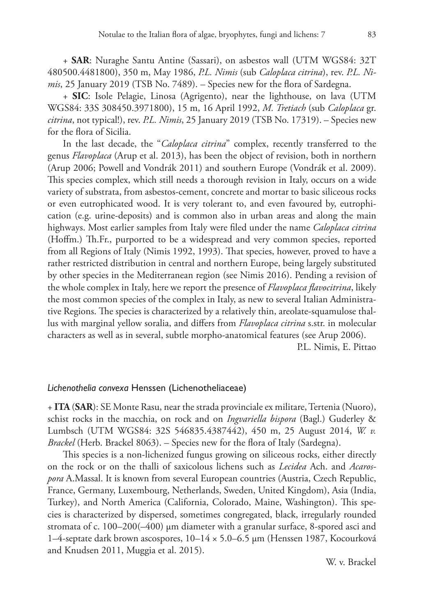+ **SAR**: Nuraghe Santu Antine (Sassari), on asbestos wall (UTM WGS84: 32T 480500.4481800), 350 m, May 1986, *P.L. Nimis* (sub *Caloplaca citrina*), rev. *P.L. Nimis*, 25 January 2019 (TSB No. 7489). – Species new for the flora of Sardegna.

+ **SIC**: Isole Pelagie, Linosa (Agrigento), near the lighthouse, on lava (UTM WGS84: 33S 308450.3971800), 15 m, 16 April 1992, *M. Tretiach* (sub *Caloplaca* gr. *citrina*, not typical!), rev. *P.L. Nimis*, 25 January 2019 (TSB No. 17319). – Species new for the flora of Sicilia.

In the last decade, the "*Caloplaca citrina*" complex, recently transferred to the genus *Flavoplaca* (Arup et al. 2013), has been the object of revision, both in northern (Arup 2006; Powell and Vondrák 2011) and southern Europe (Vondrák et al. 2009). This species complex, which still needs a thorough revision in Italy, occurs on a wide variety of substrata, from asbestos-cement, concrete and mortar to basic siliceous rocks or even eutrophicated wood. It is very tolerant to, and even favoured by, eutrophication (e.g. urine-deposits) and is common also in urban areas and along the main highways. Most earlier samples from Italy were filed under the name *Caloplaca citrina* (Hoffm.) Th.Fr., purported to be a widespread and very common species, reported from all Regions of Italy (Nimis 1992, 1993). That species, however, proved to have a rather restricted distribution in central and northern Europe, being largely substituted by other species in the Mediterranean region (see Nimis 2016). Pending a revision of the whole complex in Italy, here we report the presence of *Flavoplaca flavocitrina*, likely the most common species of the complex in Italy, as new to several Italian Administrative Regions. The species is characterized by a relatively thin, areolate-squamulose thallus with marginal yellow soralia, and differs from *Flavoplaca citrina* s.str. in molecular characters as well as in several, subtle morpho-anatomical features (see Arup 2006).

P.L. Nimis, E. Pittao

#### *Lichenothelia convexa* Henssen (Lichenotheliaceae)

+ **ITA** (**SAR**): SE Monte Rasu, near the strada provinciale ex militare, Tertenia (Nuoro), schist rocks in the macchia, on rock and on *Ingvariella bispora* (Bagl.) Guderley & Lumbsch (UTM WGS84: 32S 546835.4387442), 450 m, 25 August 2014, *W. v. Brackel* (Herb. Brackel 8063). – Species new for the flora of Italy (Sardegna).

This species is a non-lichenized fungus growing on siliceous rocks, either directly on the rock or on the thalli of saxicolous lichens such as *Lecidea* Ach. and *Acarospora* A.Massal. It is known from several European countries (Austria, Czech Republic, France, Germany, Luxembourg, Netherlands, Sweden, United Kingdom), Asia (India, Turkey), and North America (California, Colorado, Maine, Washington). This species is characterized by dispersed, sometimes congregated, black, irregularly rounded stromata of c. 100–200(–400) µm diameter with a granular surface, 8-spored asci and 1–4-septate dark brown ascospores, 10–14 × 5.0–6.5 µm (Henssen 1987, Kocourková and Knudsen 2011, Muggia et al. 2015).

W. v. Brackel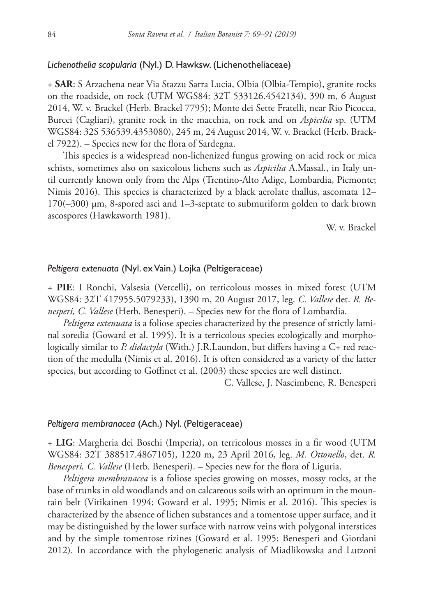## *Lichenothelia scopularia* (Nyl.) D. Hawksw. (Lichenotheliaceae)

+ **SAR**: S Arzachena near Via Stazzu Sarra Lucia, Olbia (Olbia-Tempio), granite rocks on the roadside, on rock (UTM WGS84: 32T 533126.4542134), 390 m, 6 August 2014, W. v. Brackel (Herb. Brackel 7795); Monte dei Sette Fratelli, near Rio Picocca, Burcei (Cagliari), granite rock in the macchia, on rock and on *Aspicilia* sp. (UTM WGS84: 32S 536539.4353080), 245 m, 24 August 2014, W. v. Brackel (Herb. Brackel 7922). – Species new for the flora of Sardegna.

This species is a widespread non-lichenized fungus growing on acid rock or mica schists, sometimes also on saxicolous lichens such as *Aspicilia* A.Massal., in Italy until currently known only from the Alps (Trentino-Alto Adige, Lombardia, Piemonte; Nimis 2016). This species is characterized by a black aerolate thallus, ascomata 12–  $170(-300)$   $\mu$ m, 8-spored asci and 1–3-septate to submuriform golden to dark brown ascospores (Hawksworth 1981).

W. v. Brackel

# *Peltigera extenuata* (Nyl. ex Vain.) Lojka (Peltigeraceae)

+ **PIE**: I Ronchi, Valsesia (Vercelli), on terricolous mosses in mixed forest (UTM WGS84: 32T 417955.5079233), 1390 m, 20 August 2017, leg. *C. Vallese* det. *R. Benesperi, C. Vallese* (Herb. Benesperi). – Species new for the flora of Lombardia.

*Peltigera extenuata* is a foliose species characterized by the presence of strictly laminal soredia (Goward et al. 1995). It is a terricolous species ecologically and morphologically similar to *P. didactyla* (With.) J.R.Laundon, but differs having a C+ red reaction of the medulla (Nimis et al. 2016). It is often considered as a variety of the latter species, but according to Goffinet et al. (2003) these species are well distinct.

C. Vallese, J. Nascimbene, R. Benesperi

# *Peltigera membranacea* (Ach.) Nyl. (Peltigeraceae)

+ **LIG**: Margheria dei Boschi (Imperia), on terricolous mosses in a fir wood (UTM WGS84: 32T 388517.4867105), 1220 m, 23 April 2016, leg. *M. Ottonello*, det. *R. Benesperi, C. Vallese* (Herb. Benesperi). – Species new for the flora of Liguria.

*Peltigera membranacea* is a foliose species growing on mosses, mossy rocks, at the base of trunks in old woodlands and on calcareous soils with an optimum in the mountain belt (Vitikainen 1994; Goward et al. 1995; Nimis et al. 2016). This species is characterized by the absence of lichen substances and a tomentose upper surface, and it may be distinguished by the lower surface with narrow veins with polygonal interstices and by the simple tomentose rizines (Goward et al. 1995; Benesperi and Giordani 2012). In accordance with the phylogenetic analysis of Miadlikowska and Lutzoni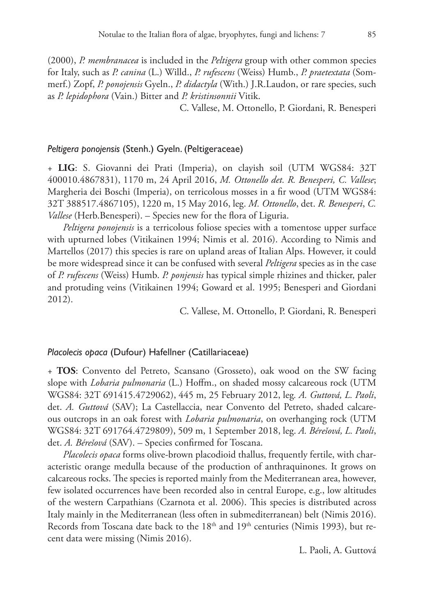(2000), *P. membranacea* is included in the *Peltigera* group with other common species for Italy, such as *P. canina* (L.) Willd., *P. rufescens* (Weiss) Humb., *P. praetextata* (Sommerf.) Zopf, *P. ponojensis* Gyeln., *P. didactyla* (With.) J.R.Laudon, or rare species, such as *P. lepidophora* (Vain.) Bitter and *P. kristinsonnii* Vitik.

C. Vallese, M. Ottonello, P. Giordani, R. Benesperi

## *Peltigera ponojensis* (Stenh.) Gyeln. (Peltigeraceae)

+ **LIG**: S. Giovanni dei Prati (Imperia), on clayish soil (UTM WGS84: 32T 400010.4867831), 1170 m, 24 April 2016, *M. Ottonello det. R. Benesperi, C. Vallese*; Margheria dei Boschi (Imperia), on terricolous mosses in a fir wood (UTM WGS84: 32T 388517.4867105), 1220 m, 15 May 2016, leg. *M. Ottonello*, det. *R. Benesperi*, *C. Vallese* (Herb.Benesperi). – Species new for the flora of Liguria.

*Peltigera ponojensis* is a terricolous foliose species with a tomentose upper surface with upturned lobes (Vitikainen 1994; Nimis et al. 2016). According to Nimis and Martellos (2017) this species is rare on upland areas of Italian Alps. However, it could be more widespread since it can be confused with several *Peltigera* species as in the case of *P. rufescens* (Weiss) Humb. *P. ponjensis* has typical simple rhizines and thicker, paler and protuding veins (Vitikainen 1994; Goward et al. 1995; Benesperi and Giordani 2012).

C. Vallese, M. Ottonello, P. Giordani, R. Benesperi

#### *Placolecis opaca* (Dufour) Hafellner (Catillariaceae)

+ **TOS**: Convento del Petreto, Scansano (Grosseto), oak wood on the SW facing slope with *Lobaria pulmonaria* (L.) Hoffm., on shaded mossy calcareous rock (UTM WGS84: 32T 691415.4729062), 445 m, 25 February 2012, leg*. A. Guttová, L. Paoli*, det. *A. Guttová* (SAV); La Castellaccia, near Convento del Petreto, shaded calcareous outcrops in an oak forest with *Lobaria pulmonaria*, on overhanging rock (UTM WGS84: 32T 691764.4729809), 509 m, 1 September 2018, leg. *A. Bérešová, L. Paoli*, det. *A. Bérešová* (SAV). – Species confirmed for Toscana.

*Placolecis opaca* forms olive-brown placodioid thallus, frequently fertile, with characteristic orange medulla because of the production of anthraquinones. It grows on calcareous rocks. The species is reported mainly from the Mediterranean area, however, few isolated occurrences have been recorded also in central Europe, e.g., low altitudes of the western Carpathians (Czarnota et al. 2006). This species is distributed across Italy mainly in the Mediterranean (less often in submediterranean) belt (Nimis 2016). Records from Toscana date back to the 18<sup>th</sup> and 19<sup>th</sup> centuries (Nimis 1993), but recent data were missing (Nimis 2016).

L. Paoli, A. Guttová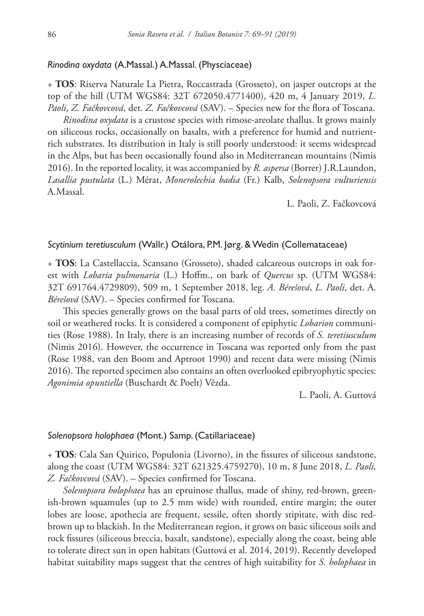## *Rinodina oxydata* (A.Massal.) A.Massal. (Physciaceae)

+ **TOS**: Riserva Naturale La Pietra, Roccastrada (Grosseto), on jasper outcrops at the top of the hill (UTM WGS84: 32T 672050.4771400), 420 m, 4 January 2019, *L. Paoli, Z. Fačkovcová*, det. *Z. Fačkovcová* (SAV). – Species new for the flora of Toscana.

*Rinodina oxydata* is a crustose species with rimose-areolate thallus. It grows mainly on siliceous rocks, occasionally on basalts, with a preference for humid and nutrientrich substrates. Its distribution in Italy is still poorly understood: it seems widespread in the Alps, but has been occasionally found also in Mediterranean mountains (Nimis 2016). In the reported locality, it was accompanied by *R. aspersa* (Borrer) J.R.Laundon, *Lasallia pustulata* (L.) Mérat, *Monerolechia badia* (Fr.) Kalb, *Solenopsora vulturiensis*  A.Massal.

L. Paoli, Z. Fačkovcová

## *Scytinium teretiusculum* (Wallr.) Otálora, P.M. Jørg. & Wedin (Collemataceae)

+ **TOS**: La Castellaccia, Scansano (Grosseto), shaded calcareous outcrops in oak forest with *Lobaria pulmonaria* (L.) Hoffm., on bark of *Quercus* sp. (UTM WGS84: 32T 691764.4729809), 509 m, 1 September 2018, leg. *A. Bérešová*, *L. Paoli*, det. A. *Bérešová* (SAV). – Species confirmed for Toscana.

This species generally grows on the basal parts of old trees, sometimes directly on soil or weathered rocks. It is considered a component of epiphytic *Lobarion* communities (Rose 1988). In Italy, there is an increasing number of records of *S. teretiusculum* (Nimis 2016). However, the occurrence in Toscana was reported only from the past (Rose 1988, van den Boom and Aptroot 1990) and recent data were missing (Nimis 2016). The reported specimen also contains an often overlooked epibryophytic species: *Agonimia opuntiella* (Buschardt & Poelt) Vězda.

L. Paoli, A. Guttová

## *Solenopsora holophaea* (Mont.) Samp. (Catillariaceae)

+ **TOS**: Cala San Quirico, Populonia (Livorno), in the fissures of siliceous sandstone, along the coast (UTM WGS84: 32T 621325.4759270), 10 m, 8 June 2018, *L. Paoli, Z. Fačkovcová* (SAV). – Species confirmed for Toscana.

*Solenopsora holophaea* has an epruinose thallus, made of shiny, red-brown, greenish-brown squamules (up to 2.5 mm wide) with rounded, entire margin; the outer lobes are loose, apothecia are frequent, sessile, often shortly stipitate, with disc redbrown up to blackish. In the Mediterranean region, it grows on basic siliceous soils and rock fissures (siliceous breccia, basalt, sandstone), especially along the coast, being able to tolerate direct sun in open habitats (Guttová et al. 2014, 2019). Recently developed habitat suitability maps suggest that the centres of high suitability for *S. holophaea* in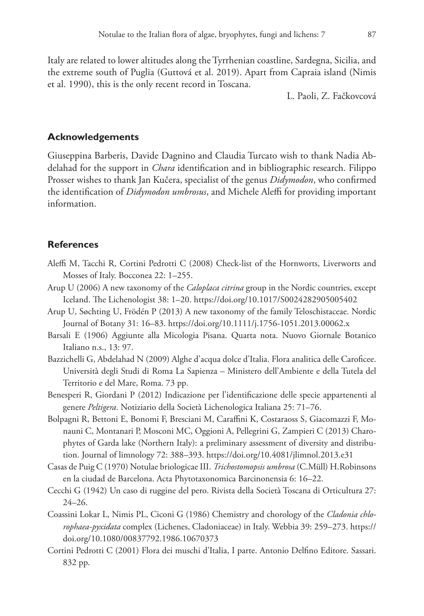Italy are related to lower altitudes along the Tyrrhenian coastline, Sardegna, Sicilia, and the extreme south of Puglia (Guttová et al. 2019). Apart from Capraia island (Nimis et al. 1990), this is the only recent record in Toscana.

L. Paoli, Z. Fačkovcová

## **Acknowledgements**

Giuseppina Barberis, Davide Dagnino and Claudia Turcato wish to thank Nadia Abdelahad for the support in *Chara* identification and in bibliographic research. Filippo Prosser wishes to thank Jan Kučera, specialist of the genus *Didymodon*, who confirmed the identification of *Didymodon umbrosus*, and Michele Aleffi for providing important information.

# **References**

- Aleffi M, Tacchi R, Cortini Pedrotti C (2008) Check-list of the Hornworts, Liverworts and Mosses of Italy. Bocconea 22: 1–255.
- Arup U (2006) A new taxonomy of the *Caloplaca citrina* group in the Nordic countries, except Iceland. The Lichenologist 38: 1–20.<https://doi.org/10.1017/S0024282905005402>
- Arup U, Søchting U, Frödén P (2013) A new taxonomy of the family Teloschistaceae. Nordic Journal of Botany 31: 16–83. <https://doi.org/10.1111/j.1756-1051.2013.00062.x>
- Barsali E (1906) Aggiunte alla Micologia Pisana. Quarta nota. Nuovo Giornale Botanico Italiano n.s., 13: 97.
- Bazzichelli G, Abdelahad N (2009) Alghe d'acqua dolce d'Italia. Flora analitica delle Caroficee. Università degli Studi di Roma La Sapienza – Ministero dell'Ambiente e della Tutela del Territorio e del Mare, Roma. 73 pp.
- Benesperi R, Giordani P (2012) Indicazione per l'identificazione delle specie appartenenti al genere *Peltigera*. Notiziario della Società Lichenologica Italiana 25: 71–76.
- Bolpagni R, Bettoni E, Bonomi F, Bresciani M, Caraffini K, Costaraoss S, Giacomazzi F, Monauni C, Montanari P, Mosconi MC, Oggioni A, Pellegrini G, Zampieri C (2013) Charophytes of Garda lake (Northern Italy): a preliminary assessment of diversity and distribution. Journal of limnology 72: 388–393. <https://doi.org/10.4081/jlimnol.2013.e31>
- Casas de Puig C (1970) Notulae briologicae III. *Trichostomopsis umbrosa* (C.Müll) H.Robinsons en la ciudad de Barcelona. Acta Phytotaxonomica Barcinonensia 6: 16–22.
- Cecchi G (1942) Un caso di ruggine del pero. Rivista della Società Toscana di Orticultura 27: 24–26.
- Coassini Lokar L, Nimis PL, Ciconi G (1986) Chemistry and chorology of the *Cladonia chlorophaea-pyxidata* complex (Lichenes, Cladoniaceae) in Italy. Webbia 39: 259–273. [https://](https://doi.org/10.1080/00837792.1986.10670373) [doi.org/10.1080/00837792.1986.10670373](https://doi.org/10.1080/00837792.1986.10670373)
- Cortini Pedrotti C (2001) Flora dei muschi d'Italia, I parte. Antonio Delfino Editore. Sassari. 832 pp.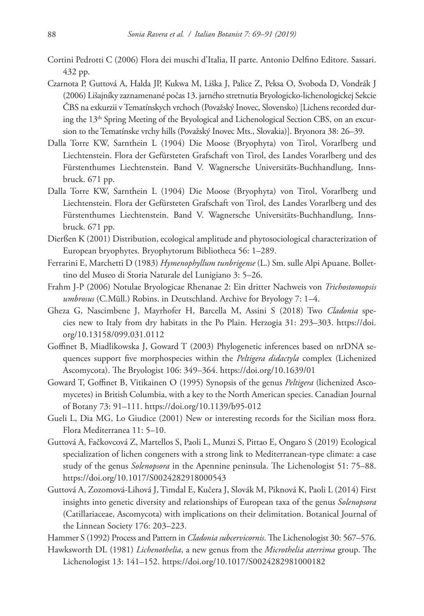- Cortini Pedrotti C (2006) Flora dei muschi d'Italia, II parte. Antonio Delfino Editore. Sassari. 432 pp.
- Czarnota P, Guttová A, Halda JP, Kukwa M, Liška J, Palice Z, Peksa O, Svoboda D, Vondrák J (2006) Lišajníky zaznamenané počas 13. jarného stretnutia Bryologicko-lichenologickej Sekcie ČBS na exkurzii v Tematínskych vrchoch (Považský Inovec, Slovensko) [Lichens recorded during the 13<sup>th</sup> Spring Meeting of the Bryological and Lichenological Section CBS, on an excursion to the Tematínske vrchy hills (Považský Inovec Mts., Slovakia)]. Bryonora 38: 26–39.
- Dalla Torre KW, Sarnthein L (1904) Die Moose (Bryophyta) von Tirol, Vorarlberg und Liechtenstein. Flora der Gefürsteten Grafschaft von Tirol, des Landes Vorarlberg und des Fürstenthumes Liechtenstein. Band V. Wagnersche Universitäts-Buchhandlung, Innsbruck. 671 pp.
- Dalla Torre KW, Sarnthein L (1904) Die Moose (Bryophyta) von Tirol, Vorarlberg und Liechtenstein. Flora der Gefürsteten Grafschaft von Tirol, des Landes Vorarlberg und des Fürstenthumes Liechtenstein. Band V. Wagnersche Universitäts-Buchhandlung, Innsbruck. 671 pp.
- Dierßen K (2001) Distribution, ecological amplitude and phytosociological characterization of European bryophytes. Bryophytorum Bibliotheca 56: 1–289.
- Ferrarini E, Marchetti D (1983) *Hymenophyllum tunbrigense* (L.) Sm. sulle Alpi Apuane. Bollettino del Museo di Storia Naturale del Lunigiano 3: 5–26.
- Frahm J-P (2006) Notulae Bryologicae Rhenanae 2: Ein dritter Nachweis von *Trichostomopsis umbrosus* (C.Müll.) Robins. in Deutschland. Archive for Bryology 7: 1–4.
- Gheza G, Nascimbene J, Mayrhofer H, Barcella M, Assini S (2018) Two *Cladonia* species new to Italy from dry habitats in the Po Plain. Herzogia 31: 293–303. [https://doi.](https://doi.org/10.13158/099.031.0112) [org/10.13158/099.031.0112](https://doi.org/10.13158/099.031.0112)
- Goffinet B, Miadlikowska J, Goward T (2003) Phylogenetic inferences based on nrDNA sequences support five morphospecies within the *Peltigera didactyla* complex (Lichenized Ascomycota). The Bryologist 106: 349–364. <https://doi.org/10.1639/01>
- Goward T, Goffinet B, Vitikainen O (1995) Synopsis of the genus *Peltigera* (lichenized Ascomycetes) in British Columbia, with a key to the North American species. Canadian Journal of Botany 73: 91–111. <https://doi.org/10.1139/b95-012>
- Gueli L, Dia MG, Lo Giudice (2001) New or interesting records for the Sicilian moss flora. Flora Mediterranea 11: 5–10.
- Guttová A, Fačkovcová Z, Martellos S, Paoli L, Munzi S, Pittao E, Ongaro S (2019) Ecological specialization of lichen congeners with a strong link to Mediterranean-type climate: a case study of the genus *Solenopsora* in the Apennine peninsula. The Lichenologist 51: 75–88. <https://doi.org/10.1017/S0024282918000543>
- Guttová A, Zozomová-Lihová J, Timdal E, Kučera J, Slovák M, Piknová K, Paoli L (2014) First insights into genetic diversity and relationships of European taxa of the genus *Solenopsora* (Catillariaceae, Ascomycota) with implications on their delimitation. Botanical Journal of the Linnean Society 176: 203–223.

Hammer S (1992) Process and Pattern in *Cladonia subcervicornis*. The Lichenologist 30: 567–576.

Hawksworth DL (1981) *Lichenothelia*, a new genus from the *Microthelia aterrima* group. The Lichenologist 13: 141–152. <https://doi.org/10.1017/S0024282981000182>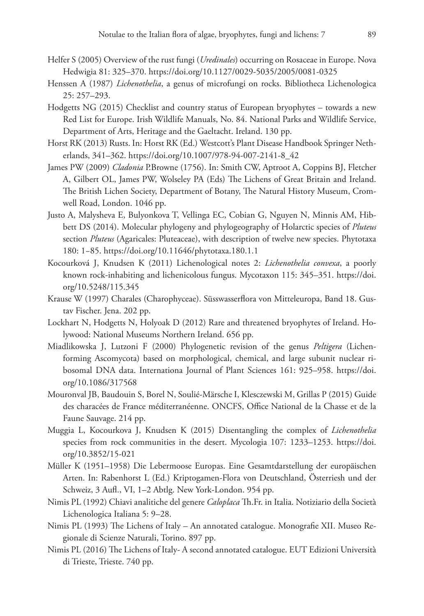- Helfer S (2005) Overview of the rust fungi (*Uredinales*) occurring on Rosaceae in Europe. Nova Hedwigia 81: 325–370.<https://doi.org/10.1127/0029-5035/2005/0081-0325>
- Henssen A (1987) *Lichenothelia*, a genus of microfungi on rocks. Bibliotheca Lichenologica 25: 257–293.
- Hodgetts NG (2015) Checklist and country status of European bryophytes towards a new Red List for Europe. Irish Wildlife Manuals, No. 84. National Parks and Wildlife Service, Department of Arts, Heritage and the Gaeltacht. Ireland. 130 pp.
- Horst RK (2013) Rusts. In: Horst RK (Ed.) Westcott's Plant Disease Handbook Springer Netherlands, 341–362. [https://doi.org/10.1007/978-94-007-2141-8\\_42](https://doi.org/10.1007/978-94-007-2141-8_42)
- James PW (2009) *Cladonia* P.Browne (1756). In: Smith CW, Aptroot A, Coppins BJ, Fletcher A, Gilbert OL, James PW, Wolseley PA (Eds) The Lichens of Great Britain and Ireland. The British Lichen Society, Department of Botany, The Natural History Museum, Cromwell Road, London. 1046 pp.
- Justo A, Malysheva E, Bulyonkova T, Vellinga EC, Cobian G, Nguyen N, Minnis AM, Hibbett DS (2014). Molecular phylogeny and phylogeography of Holarctic species of *Pluteus* section *Pluteus* (Agaricales: Pluteaceae), with description of twelve new species. Phytotaxa 180: 1−85.<https://doi.org/10.11646/phytotaxa.180.1.1>
- Kocourková J, Knudsen K (2011) Lichenological notes 2: *Lichenothelia convexa*, a poorly known rock-inhabiting and lichenicolous fungus. Mycotaxon 115: 345–351. [https://doi.](https://doi.org/10.5248/115.345) [org/10.5248/115.345](https://doi.org/10.5248/115.345)
- Krause W (1997) Charales (Charophyceae). Süsswasserflora von Mitteleuropa, Band 18. Gustav Fischer. Jena. 202 pp.
- Lockhart N, Hodgetts N, Holyoak D (2012) Rare and threatened bryophytes of Ireland. Holywood: National Museums Northern Ireland. 656 pp.
- Miadlikowska J, Lutzoni F (2000) Phylogenetic revision of the genus *Peltigera* (Lichenforming Ascomycota) based on morphological, chemical, and large subunit nuclear ribosomal DNA data. Internationa Journal of Plant Sciences 161: 925–958. [https://doi.](https://doi.org/10.1086/317568) [org/10.1086/317568](https://doi.org/10.1086/317568)
- Mouronval JB, Baudouin S, Borel N, Soulié-Märsche I, Klesczewski M, Grillas P (2015) Guide des characées de France méditerranéenne. ONCFS, Office National de la Chasse et de la Faune Sauvage. 214 pp.
- Muggia L, Kocourkova J, Knudsen K (2015) Disentangling the complex of *Lichenothelia* species from rock communities in the desert. Mycologia 107: 1233–1253. [https://doi.](https://doi.org/10.3852/15-021) [org/10.3852/15-021](https://doi.org/10.3852/15-021)
- Müller K (1951–1958) Die Lebermoose Europas. Eine Gesamtdarstellung der europӓischen Arten. In: Rabenhorst L (Ed.) Kriptogamen-Flora von Deutschland, Österriesh und der Schweiz, 3 Aufl., VI, 1–2 Abtlg. New York-London. 954 pp.
- Nimis PL (1992) Chiavi analitiche del genere *Caloplaca* Th.Fr. in Italia. Notiziario della Società Lichenologica Italiana 5: 9–28.
- Nimis PL (1993) The Lichens of Italy An annotated catalogue. Monografie XII. Museo Regionale di Scienze Naturali, Torino. 897 pp.
- Nimis PL (2016) The Lichens of Italy- A second annotated catalogue. EUT Edizioni Università di Trieste, Trieste. 740 pp.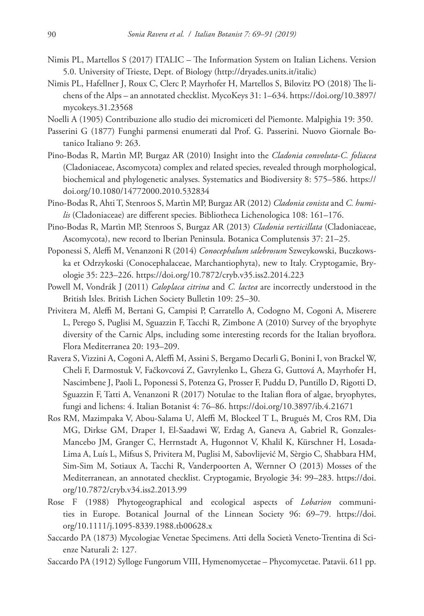- Nimis PL, Martellos S (2017) ITALIC The Information System on Italian Lichens. Version 5.0. University of Trieste, Dept. of Biology (<http://dryades.units.it/italic>)
- Nimis PL, Hafellner J, Roux C, Clerc P, Mayrhofer H, Martellos S, Bilovitz PO (2018) The lichens of the Alps – an annotated checklist. MycoKeys 31: 1–634. [https://doi.org/10.3897/](https://doi.org/10.3897/mycokeys.31.23568) [mycokeys.31.23568](https://doi.org/10.3897/mycokeys.31.23568)
- Noelli A (1905) Contribuzione allo studio dei micromiceti del Piemonte. Malpighia 19: 350.
- Passerini G (1877) Funghi parmensi enumerati dal Prof. G. Passerini. Nuovo Giornale Botanico Italiano 9: 263.
- Pino-Bodas R, Martìn MP, Burgaz AR (2010) Insight into the *Cladonia convoluta*-*C. foliacea* (Cladoniaceae, Ascomycota) complex and related species, revealed through morphological, biochemical and phylogenetic analyses. Systematics and Biodiversity 8: 575–586. [https://](https://doi.org/10.1080/14772000.2010.532834) [doi.org/10.1080/14772000.2010.532834](https://doi.org/10.1080/14772000.2010.532834)
- Pino-Bodas R, Ahti T, Stenroos S, Martìn MP, Burgaz AR (2012) *Cladonia conista* and *C. humilis* (Cladoniaceae) are different species. Bibliotheca Lichenologica 108: 161–176.
- Pino-Bodas R, Martìn MP, Stenroos S, Burgaz AR (2013) *Cladonia verticillata* (Cladoniaceae, Ascomycota), new record to Iberian Peninsula. Botanica Complutensis 37: 21–25.
- Poponessi S, Aleffi M, Venanzoni R (2014) *Conocephalum salebrosum* Szweykowski, Buczkowska et Odrzykoski (Conocephalaceae, Marchantiophyta), new to Italy. Cryptogamie, Bryologie 35: 223–226.<https://doi.org/10.7872/cryb.v35.iss2.2014.223>
- Powell M, Vondrák J (2011) *Caloplaca citrina* and *C. lactea* are incorrectly understood in the British Isles. British Lichen Society Bulletin 109: 25–30.
- Privitera M, Aleffi M, Bertani G, Campisi P, Carratello A, Codogno M, Cogoni A, Miserere L, Perego S, Puglisi M, Sguazzin F, Tacchi R, Zimbone A (2010) Survey of the bryophyte diversity of the Carnic Alps, including some interesting records for the Italian bryoflora. Flora Mediterranea 20: 193–209.
- Ravera S, Vizzini A, Cogoni A, Aleffi M, Assini S, Bergamo Decarli G, Bonini I, von Brackel W, Cheli F, Darmostuk V, Fačkovcová Z, Gavrylenko L, Gheza G, Guttová A, Mayrhofer H, Nascimbene J, Paoli L, Poponessi S, Potenza G, Prosser F, Puddu D, Puntillo D, Rigotti D, Sguazzin F, Tatti A, Venanzoni R (2017) Notulae to the Italian flora of algae, bryophytes, fungi and lichens: 4. Italian Botanist 4: 76–86.<https://doi.org/10.3897/ib.4.21671>
- Ros RM, Mazimpaka V, Abou-Salama U, Aleffi M, Blockeel T L, Brugués M, Cros RM, Dia MG, Dirkse GM, Draper I, El-Saadawi W, Erdag A, Ganeva A, Gabriel R, Gonzales-Mancebo JM, Granger C, Herrnstadt A, Hugonnot V, Khalil K, Kürschner H, Losada-Lima A, Luís L, Mifsus S, Privitera M, Puglisi M, Sabovlijević M, Sèrgio C, Shabbara HM, Sim-Sim M, Sotiaux A, Tacchi R, Vanderpoorten A, Wernner O (2013) Mosses of the Mediterranean, an annotated checklist. Cryptogamie, Bryologie 34: 99–283. [https://doi.](https://doi.org/10.7872/cryb.v34.iss2.2013.99) [org/10.7872/cryb.v34.iss2.2013.99](https://doi.org/10.7872/cryb.v34.iss2.2013.99)
- Rose F (1988) Phytogeographical and ecological aspects of *Lobarion* communities in Europe. Botanical Journal of the Linnean Society 96: 69–79. [https://doi.](https://doi.org/10.1111/j.1095-8339.1988.tb00628.x) [org/10.1111/j.1095-8339.1988.tb00628.x](https://doi.org/10.1111/j.1095-8339.1988.tb00628.x)
- Saccardo PA (1873) Mycologiae Venetae Specimens. Atti della Società Veneto-Trentina di Scienze Naturali 2: 127.
- Saccardo PA (1912) Sylloge Fungorum VIII, Hymenomycetae Phycomycetae. Patavii. 611 pp.